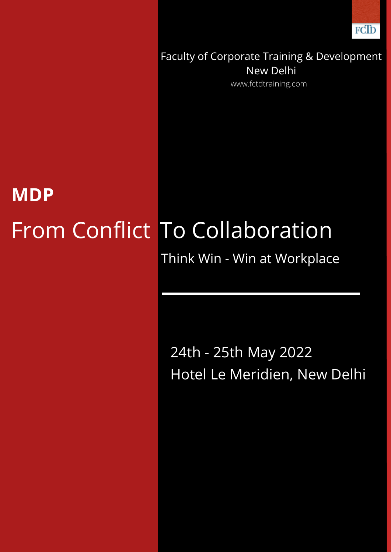

Faculty of Corporate Training & Development New Delhi www.fctdtraining.com

## From Conflict To Collaboration **MDP**

Think Win - Win at Workplace

24th - 25th May 2022 Hotel Le Meridien, New Delhi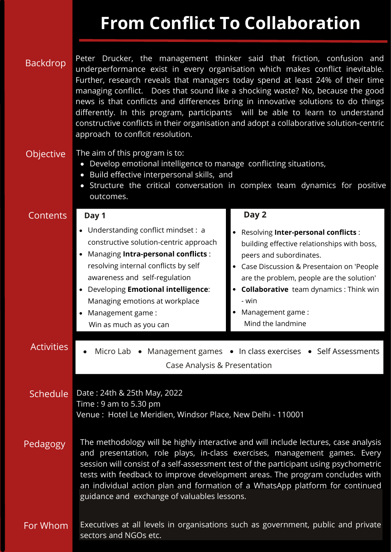## **From Conflict To Collaboration**

| <b>Backdrop</b>   | Peter Drucker, the management thinker said that friction, confusion and<br>underperformance exist in every organisation which makes conflict inevitable.<br>Further, research reveals that managers today spend at least 24% of their time<br>managing conflict. Does that sound like a shocking waste? No, because the good<br>news is that conflicts and differences bring in innovative solutions to do things<br>differently. In this program, participants will be able to learn to understand<br>constructive conflicts in their organisation and adopt a collaborative solution-centric<br>approach to conflcit resolution. |                                                                                                                                                                                                                                                                                                                         |
|-------------------|------------------------------------------------------------------------------------------------------------------------------------------------------------------------------------------------------------------------------------------------------------------------------------------------------------------------------------------------------------------------------------------------------------------------------------------------------------------------------------------------------------------------------------------------------------------------------------------------------------------------------------|-------------------------------------------------------------------------------------------------------------------------------------------------------------------------------------------------------------------------------------------------------------------------------------------------------------------------|
| <b>Objective</b>  | The aim of this program is to:<br>Develop emotional intelligence to manage conflicting situations,<br>Build effective interpersonal skills, and<br>Structure the critical conversation in complex team dynamics for positive<br>$\bullet$<br>outcomes.                                                                                                                                                                                                                                                                                                                                                                             |                                                                                                                                                                                                                                                                                                                         |
| Contents          | Day 1                                                                                                                                                                                                                                                                                                                                                                                                                                                                                                                                                                                                                              | Day 2                                                                                                                                                                                                                                                                                                                   |
|                   | Understanding conflict mindset : a<br>constructive solution-centric approach<br>Managing Intra-personal conflicts:<br>resolving internal conflicts by self<br>awareness and self-regulation<br>Developing Emotional intelligence:<br>Managing emotions at workplace<br>Management game:<br>Win as much as you can                                                                                                                                                                                                                                                                                                                  | Resolving Inter-personal conflicts :<br>building effective relationships with boss,<br>peers and subordinates.<br>Case Discussion & Presentaion on 'People<br>are the problem, people are the solution'<br><b>Collaborative</b> team dynamics: Think win<br>$\bullet$<br>- win<br>Management game:<br>Mind the landmine |
| <b>Activities</b> | Micro Lab • Management games • In class exercises • Self Assessments<br>Case Analysis & Presentation                                                                                                                                                                                                                                                                                                                                                                                                                                                                                                                               |                                                                                                                                                                                                                                                                                                                         |
| <b>Schedule</b>   | Date: 24th & 25th May, 2022<br>Time: 9 am to 5.30 pm<br>Venue: Hotel Le Meridien, Windsor Place, New Delhi - 110001                                                                                                                                                                                                                                                                                                                                                                                                                                                                                                                |                                                                                                                                                                                                                                                                                                                         |
| Pedagogy          | The methodology will be highly interactive and will include lectures, case analysis<br>and presentation, role plays, in-class exercises, management games. Every<br>session will consist of a self-assessment test of the participant using psychometric<br>tests with feedback to improve development areas. The program concludes with<br>an individual action plan and formation of a WhatsApp platform for continued<br>guidance and exchange of valuables lessons.                                                                                                                                                            |                                                                                                                                                                                                                                                                                                                         |
| For Whom          | Executives at all levels in organisations such as government, public and private<br>sectors and NGOs etc.                                                                                                                                                                                                                                                                                                                                                                                                                                                                                                                          |                                                                                                                                                                                                                                                                                                                         |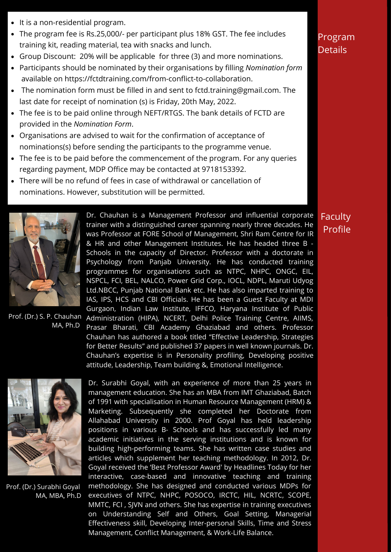- <span id="page-2-0"></span>• It is a non-residential program.
- The program fee is Rs.25,000/- per participant plus 18% GST. The fee includes training kit, reading material, tea with snacks and lunch.
- Group Discount: 20% will be applicable for three (3) and more nominations.
- Participants should be nominated by their organisations by filling *[Nomination](#page-2-0) form* available on https://fctdtraining.com/from-conflict-to-collaboration.
- The nomination form must be filled in and sent to fctd.training@gmail.com. The last date for receipt of nomination (s) is Friday, 20th May, 2022.
- The fee is to be paid online through NEFT/RTGS. The bank details of FCTD are provided in the *Nomination Form*.
- Organisations are advised to wait for the confirmation of acceptance of nominations(s) before sending the participants to the programme venue.
- The fee is to be paid before the commencement of the program. For any queries regarding payment, MDP Office may be contacted at 9718153392.
- There will be no refund of fees in case of withdrawal or cancellation of nominations. However, substitution will be permitted.



Prof. (Dr.) S. P. Chauhan MA, Ph.D





Prof. (Dr.) Surabhi Goyal MA, MBA, Ph.D

Dr. Surabhi Goyal, with an experience of more than 25 years in management education. She has an MBA from IMT Ghaziabad, Batch of 1991 with specialisation in Human Resource Management (HRM) & Marketing. Subsequently she completed her Doctorate from Allahabad University in 2000. Prof Goyal has held leadership positions in various B- Schools and has successfully led many academic initiatives in the serving institutions and is known for building high-performing teams. She has written case studies and articles which supplement her teaching methodology. In 2012, Dr. Goyal received the 'Best Professor Award' by Headlines Today for her interactive, case-based and innovative teaching and training methodology. She has designed and conducted various MDPs for executives of NTPC, NHPC, POSOCO, IRCTC, HIL, NCRTC, SCOPE, MMTC, FCI , SJVN and others. She has expertise in training executives on Understanding Self and Others, Goal Setting, Managerial Effectiveness skill, Developing Inter-personal Skills, Time and Stress Management, Conflict Management, & Work-Life Balance.

## Program **Details**

Faculty Profile